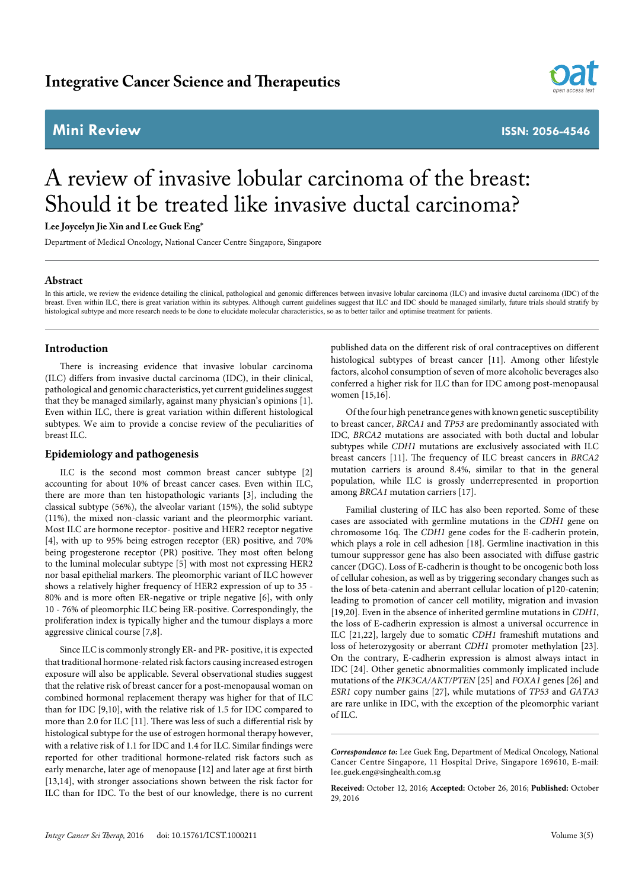# **Mini Review ISSN: 2056-4546**



# A review of invasive lobular carcinoma of the breast: Should it be treated like invasive ductal carcinoma?

**Lee Joycelyn Jie Xin and Lee Guek Eng\***

Department of Medical Oncology, National Cancer Centre Singapore, Singapore

#### **Abstract**

In this article, we review the evidence detailing the clinical, pathological and genomic differences between invasive lobular carcinoma (ILC) and invasive ductal carcinoma (IDC) of the breast. Even within ILC, there is great variation within its subtypes. Although current guidelines suggest that ILC and IDC should be managed similarly, future trials should stratify by histological subtype and more research needs to be done to elucidate molecular characteristics, so as to better tailor and optimise treatment for patients.

# **Introduction**

There is increasing evidence that invasive lobular carcinoma (ILC) differs from invasive ductal carcinoma (IDC), in their clinical, pathological and genomic characteristics, yet current guidelines suggest that they be managed similarly, against many physician's opinions [1]. Even within ILC, there is great variation within different histological subtypes. We aim to provide a concise review of the peculiarities of breast ILC.

# **Epidemiology and pathogenesis**

ILC is the second most common breast cancer subtype [2] accounting for about 10% of breast cancer cases. Even within ILC, there are more than ten histopathologic variants [3], including the classical subtype (56%), the alveolar variant (15%), the solid subtype (11%), the mixed non-classic variant and the pleormorphic variant. Most ILC are hormone receptor- positive and HER2 receptor negative [4], with up to 95% being estrogen receptor (ER) positive, and 70% being progesterone receptor (PR) positive. They most often belong to the luminal molecular subtype [5] with most not expressing HER2 nor basal epithelial markers. The pleomorphic variant of ILC however shows a relatively higher frequency of HER2 expression of up to 35 - 80% and is more often ER-negative or triple negative [6], with only 10 - 76% of pleomorphic ILC being ER-positive. Correspondingly, the proliferation index is typically higher and the tumour displays a more aggressive clinical course [7,8].

Since ILC is commonly strongly ER- and PR- positive, it is expected that traditional hormone-related risk factors causing increased estrogen exposure will also be applicable. Several observational studies suggest that the relative risk of breast cancer for a post-menopausal woman on combined hormonal replacement therapy was higher for that of ILC than for IDC [9,10], with the relative risk of 1.5 for IDC compared to more than 2.0 for ILC [11]. There was less of such a differential risk by histological subtype for the use of estrogen hormonal therapy however, with a relative risk of 1.1 for IDC and 1.4 for ILC. Similar findings were reported for other traditional hormone-related risk factors such as early menarche, later age of menopause [12] and later age at first birth [13,14], with stronger associations shown between the risk factor for ILC than for IDC. To the best of our knowledge, there is no current published data on the different risk of oral contraceptives on different histological subtypes of breast cancer [11]. Among other lifestyle factors, alcohol consumption of seven of more alcoholic beverages also conferred a higher risk for ILC than for IDC among post-menopausal women [15,16].

Of the four high penetrance genes with known genetic susceptibility to breast cancer, *BRCA1* and *TP53* are predominantly associated with IDC, *BRCA2* mutations are associated with both ductal and lobular subtypes while *CDH1* mutations are exclusively associated with ILC breast cancers [11]. The frequency of ILC breast cancers in *BRCA2*  mutation carriers is around 8.4%, similar to that in the general population, while ILC is grossly underrepresented in proportion among *BRCA1* mutation carriers [17].

Familial clustering of ILC has also been reported. Some of these cases are associated with germline mutations in the *CDH1* gene on chromosome 16q. The *CDH1* gene codes for the E-cadherin protein, which plays a role in cell adhesion [18]. Germline inactivation in this tumour suppressor gene has also been associated with diffuse gastric cancer (DGC). Loss of E-cadherin is thought to be oncogenic both loss of cellular cohesion, as well as by triggering secondary changes such as the loss of beta-catenin and aberrant cellular location of p120-catenin; leading to promotion of cancer cell motility, migration and invasion [19,20]. Even in the absence of inherited germline mutations in *CDH1*, the loss of E-cadherin expression is almost a universal occurrence in ILC [21,22], largely due to somatic *CDH1* frameshift mutations and loss of heterozygosity or aberrant *CDH1* promoter methylation [23]. On the contrary, E-cadherin expression is almost always intact in IDC [24]. Other genetic abnormalities commonly implicated include mutations of the *PIK3CA/AKT/PTEN* [25] and *FOXA1* genes [26] and *ESR1* copy number gains [27], while mutations of *TP53* and *GATA3* are rare unlike in IDC, with the exception of the pleomorphic variant of ILC.

*Correspondence to:* Lee Guek Eng, Department of Medical Oncology, National Cancer Centre Singapore, 11 Hospital Drive, Singapore 169610, E-mail: lee.guek.eng@singhealth.com.sg

**Received:** October 12, 2016; **Accepted:** October 26, 2016; **Published:** October 29, 2016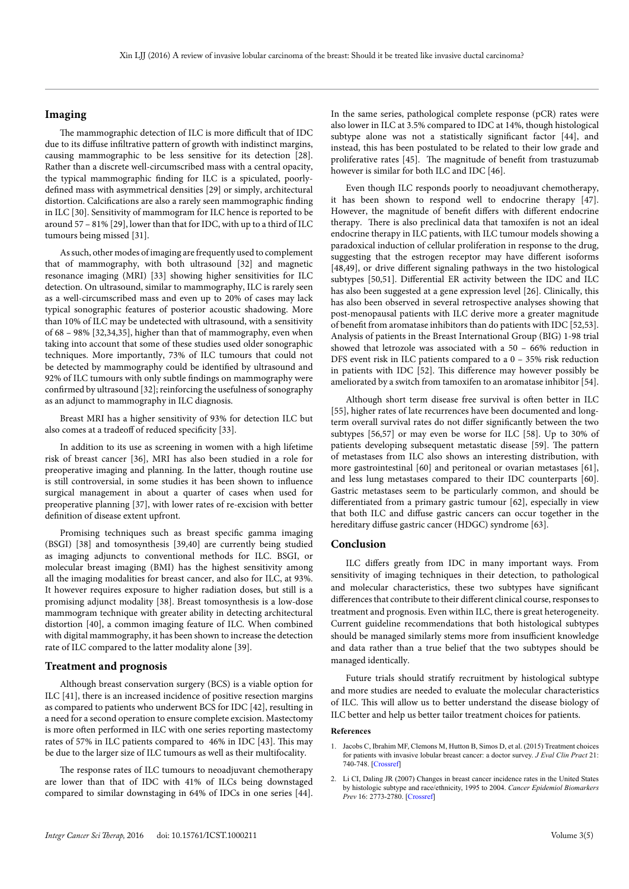### **Imaging**

The mammographic detection of ILC is more difficult that of IDC due to its diffuse infiltrative pattern of growth with indistinct margins, causing mammographic to be less sensitive for its detection [28]. Rather than a discrete well-circumscribed mass with a central opacity, the typical mammographic finding for ILC is a spiculated, poorlydefined mass with asymmetrical densities [29] or simply, architectural distortion. Calcifications are also a rarely seen mammographic finding in ILC [30]. Sensitivity of mammogram for ILC hence is reported to be around 57 – 81% [29], lower than that for IDC, with up to a third of ILC tumours being missed [31].

As such, other modes of imaging are frequently used to complement that of mammography, with both ultrasound [32] and magnetic resonance imaging (MRI) [33] showing higher sensitivities for ILC detection. On ultrasound, similar to mammography, ILC is rarely seen as a well-circumscribed mass and even up to 20% of cases may lack typical sonographic features of posterior acoustic shadowing. More than 10% of ILC may be undetected with ultrasound, with a sensitivity of 68 – 98% [32,34,35], higher than that of mammography, even when taking into account that some of these studies used older sonographic techniques. More importantly, 73% of ILC tumours that could not be detected by mammography could be identified by ultrasound and 92% of ILC tumours with only subtle findings on mammography were confirmed by ultrasound [32]; reinforcing the usefulness of sonography as an adjunct to mammography in ILC diagnosis.

Breast MRI has a higher sensitivity of 93% for detection ILC but also comes at a tradeoff of reduced specificity [33].

In addition to its use as screening in women with a high lifetime risk of breast cancer [36], MRI has also been studied in a role for preoperative imaging and planning. In the latter, though routine use is still controversial, in some studies it has been shown to influence surgical management in about a quarter of cases when used for preoperative planning [37], with lower rates of re-excision with better definition of disease extent upfront.

Promising techniques such as breast specific gamma imaging (BSGI) [38] and tomosynthesis [39,40] are currently being studied as imaging adjuncts to conventional methods for ILC. BSGI, or molecular breast imaging (BMI) has the highest sensitivity among all the imaging modalities for breast cancer, and also for ILC, at 93%. It however requires exposure to higher radiation doses, but still is a promising adjunct modality [38]. Breast tomosynthesis is a low-dose mammogram technique with greater ability in detecting architectural distortion [40], a common imaging feature of ILC. When combined with digital mammography, it has been shown to increase the detection rate of ILC compared to the latter modality alone [39].

#### **Treatment and prognosis**

Although breast conservation surgery (BCS) is a viable option for ILC [41], there is an increased incidence of positive resection margins as compared to patients who underwent BCS for IDC [42], resulting in a need for a second operation to ensure complete excision. Mastectomy is more often performed in ILC with one series reporting mastectomy rates of 57% in ILC patients compared to 46% in IDC [43]. This may be due to the larger size of ILC tumours as well as their multifocality.

The response rates of ILC tumours to neoadjuvant chemotherapy are lower than that of IDC with 41% of ILCs being downstaged compared to similar downstaging in 64% of IDCs in one series [44]. In the same series, pathological complete response (pCR) rates were also lower in ILC at 3.5% compared to IDC at 14%, though histological subtype alone was not a statistically significant factor [44], and instead, this has been postulated to be related to their low grade and proliferative rates [45]. The magnitude of benefit from trastuzumab however is similar for both ILC and IDC [46].

Even though ILC responds poorly to neoadjuvant chemotherapy, it has been shown to respond well to endocrine therapy [47]. However, the magnitude of benefit differs with different endocrine therapy. There is also preclinical data that tamoxifen is not an ideal endocrine therapy in ILC patients, with ILC tumour models showing a paradoxical induction of cellular proliferation in response to the drug, suggesting that the estrogen receptor may have different isoforms [48,49], or drive different signaling pathways in the two histological subtypes [50,51]. Differential ER activity between the IDC and ILC has also been suggested at a gene expression level [26]. Clinically, this has also been observed in several retrospective analyses showing that post-menopausal patients with ILC derive more a greater magnitude of benefit from aromatase inhibitors than do patients with IDC [52,53]. Analysis of patients in the Breast International Group (BIG) 1-98 trial showed that letrozole was associated with a 50 – 66% reduction in DFS event risk in ILC patients compared to a 0 – 35% risk reduction in patients with IDC [52]. This difference may however possibly be ameliorated by a switch from tamoxifen to an aromatase inhibitor [54].

Although short term disease free survival is often better in ILC [55], higher rates of late recurrences have been documented and longterm overall survival rates do not differ significantly between the two subtypes [56,57] or may even be worse for ILC [58]. Up to 30% of patients developing subsequent metastatic disease [59]. The pattern of metastases from ILC also shows an interesting distribution, with more gastrointestinal [60] and peritoneal or ovarian metastases [61], and less lung metastases compared to their IDC counterparts [60]. Gastric metastases seem to be particularly common, and should be differentiated from a primary gastric tumour [62], especially in view that both ILC and diffuse gastric cancers can occur together in the hereditary diffuse gastric cancer (HDGC) syndrome [63].

#### **Conclusion**

ILC differs greatly from IDC in many important ways. From sensitivity of imaging techniques in their detection, to pathological and molecular characteristics, these two subtypes have significant differences that contribute to their different clinical course, responses to treatment and prognosis. Even within ILC, there is great heterogeneity. Current guideline recommendations that both histological subtypes should be managed similarly stems more from insufficient knowledge and data rather than a true belief that the two subtypes should be managed identically.

Future trials should stratify recruitment by histological subtype and more studies are needed to evaluate the molecular characteristics of ILC. This will allow us to better understand the disease biology of ILC better and help us better tailor treatment choices for patients.

#### **References**

- Jacobs C, Ibrahim MF, Clemons M, Hutton B, Simos D, et al. (2015) Treatment choices for patients with invasive lobular breast cancer: a doctor survey. *J Eval Clin Pract* 21: 740-748. [\[Crossref\]](http://www.ncbi.nlm.nih.gov/pubmed/26059404)
- 2. Li CI, Daling JR (2007) Changes in breast cancer incidence rates in the United States by histologic subtype and race/ethnicity, 1995 to 2004. *Cancer Epidemiol Biomarkers Prev* 16: 2773-2780. [\[Crossref\]](http://www.ncbi.nlm.nih.gov/pubmed/18086787)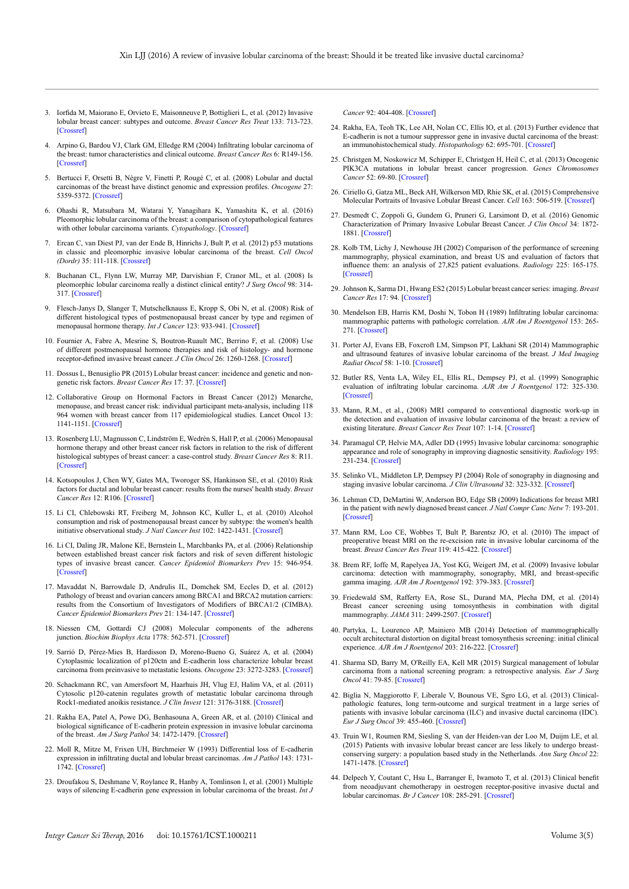- 3. Iorfida M, Maiorano E, Orvieto E, Maisonneuve P, Bottiglieri L, et al. (2012) Invasive lobular breast cancer: subtypes and outcome. *Breast Cancer Res Treat* 133: 713-723. [\[Crossref\]](http://www.ncbi.nlm.nih.gov/pubmed/22399188)
- 4. Arpino G, Bardou VJ, Clark GM, Elledge RM (2004) Infiltrating lobular carcinoma of the breast: tumor characteristics and clinical outcome. *Breast Cancer Res* 6: R149-156. [\[Crossref\]](http://www.ncbi.nlm.nih.gov/pubmed/15084238)
- 5. Bertucci F, Orsetti B, Nègre V, Finetti P, Rougé C, et al. (2008) Lobular and ductal carcinomas of the breast have distinct genomic and expression profiles. *Oncogene* 27: 5359-5372. [\[Crossref\]](http://www.ncbi.nlm.nih.gov/pubmed/18490921)
- 6. Ohashi R, Matsubara M, Watarai Y, Yanagihara K, Yamashita K, et al. (2016) Pleomorphic lobular carcinoma of the breast: a comparison of cytopathological features with other lobular carcinoma variants. *Cytopathology*. [\[Crossref\]](http://www.ncbi.nlm.nih.gov/pubmed/27489086)
- 7. Ercan C, van Diest PJ, van der Ende B, Hinrichs J, Bult P, et al. (2012) p53 mutations in classic and pleomorphic invasive lobular carcinoma of the breast. *Cell Oncol (Dordr)* 35: 111-118. [\[Crossref\]](http://www.ncbi.nlm.nih.gov/pubmed/22354696)
- 8. Buchanan CL, Flynn LW, Murray MP, Darvishian F, Cranor ML, et al. (2008) Is pleomorphic lobular carcinoma really a distinct clinical entity? *J Surg Oncol* 98: 314- 317. [\[Crossref\]](http://www.ncbi.nlm.nih.gov/pubmed/18668643)
- 9. Flesch-Janys D, Slanger T, Mutschelknauss E, Kropp S, Obi N, et al. (2008) Risk of different histological types of postmenopausal breast cancer by type and regimen of menopausal hormone therapy. *Int J Cancer* 123: 933-941. [\[Crossref\]](http://www.ncbi.nlm.nih.gov/pubmed/18506692)
- 10. Fournier A, Fabre A, Mesrine S, Boutron-Ruault MC, Berrino F, et al. (2008) Use of different postmenopausal hormone therapies and risk of histology- and hormone receptor-defined invasive breast cancer. *J Clin Oncol* 26: 1260-1268. [[Crossref](https://www.ncbi.nlm.nih.gov/pubmed/18323549)]
- 11. Dossus L, Benusiglio PR (2015) Lobular breast cancer: incidence and genetic and nongenetic risk factors. *Breast Cancer Res* 17: 37. [\[Crossref\]](http://www.ncbi.nlm.nih.gov/pubmed/25848941)
- 12. Collaborative Group on Hormonal Factors in Breast Cancer (2012) Menarche, menopause, and breast cancer risk: individual participant meta-analysis, including 118 964 women with breast cancer from 117 epidemiological studies. Lancet Oncol 13: 1141-1151. [[Crossref](https://www.ncbi.nlm.nih.gov/pubmed/23084519)]
- 13. Rosenberg LU, Magnusson C, Lindström E, Wedrén S, Hall P, et al. (2006) Menopausal hormone therapy and other breast cancer risk factors in relation to the risk of different histological subtypes of breast cancer: a case-control study. *Breast Cancer Res* 8: R11. [\[Crossref\]](https://www.ncbi.nlm.nih.gov/pubmed/16507159)
- 14. Kotsopoulos J, Chen WY, Gates MA, Tworoger SS, Hankinson SE, et al. (2010) Risk factors for ductal and lobular breast cancer: results from the nurses' health study. *Breast Cancer Res* 12: R106. [\[Crossref\]](http://www.ncbi.nlm.nih.gov/pubmed/21143857)
- 15. Li CI, Chlebowski RT, Freiberg M, Johnson KC, Kuller L, et al. (2010) Alcohol consumption and risk of postmenopausal breast cancer by subtype: the women's health initiative observational study. *J Natl Cancer Inst* 102: 1422-1431. [\[Crossref\]](http://www.ncbi.nlm.nih.gov/pubmed/20733117)
- 16. Li CI, Daling JR, Malone KE, Bernstein L, Marchbanks PA, et al. (2006) Relationship between established breast cancer risk factors and risk of seven different histologic types of invasive breast cancer. *Cancer Epidemiol Biomarkers Prev* 15: 946-954. [\[Crossref\]](https://www.ncbi.nlm.nih.gov/pubmed/16702375)
- 17. Mavaddat N, Barrowdale D, Andrulis IL, Domchek SM, Eccles D, et al. (2012) Pathology of breast and ovarian cancers among BRCA1 and BRCA2 mutation carriers: results from the Consortium of Investigators of Modifiers of BRCA1/2 (CIMBA). *Cancer Epidemiol Biomarkers Prev* 21: 134-147. [[Crossref](https://www.ncbi.nlm.nih.gov/pubmed/22144499)]
- 18. Niessen CM, Gottardi CJ (2008) Molecular components of the adherens junction. *Biochim Biophys Acta* 1778: 562-571. [\[Crossref\]](http://www.ncbi.nlm.nih.gov/pubmed/18206110)
- 19. Sarrió D, Pérez-Mies B, Hardisson D, Moreno-Bueno G, Suárez A, et al. (2004) Cytoplasmic localization of p120ctn and E-cadherin loss characterize lobular breast carcinoma from preinvasive to metastatic lesions. *Oncogene* 23: 3272-3283. [\[Crossref\]](http://www.ncbi.nlm.nih.gov/pubmed/15077190)
- 20. Schackmann RC, van Amersfoort M, Haarhuis JH, Vlug EJ, Halim VA, et al. (2011) Cytosolic p120-catenin regulates growth of metastatic lobular carcinoma through Rock1-mediated anoikis resistance. *J Clin Invest* 121: 3176-3188. [\[Crossref\]](http://www.ncbi.nlm.nih.gov/pubmed/21747168)
- 21. Rakha EA, Patel A, Powe DG, Benhasouna A, Green AR, et al. (2010) Clinical and biological significance of E-cadherin protein expression in invasive lobular carcinoma of the breast. *Am J Surg Pathol* 34: 1472-1479. [[Crossref\]](https://www.ncbi.nlm.nih.gov/pubmed/20871222)
- 22. Moll R, Mitze M, Frixen UH, Birchmeier W (1993) Differential loss of E-cadherin expression in infiltrating ductal and lobular breast carcinomas. *Am J Pathol* 143: 1731- 1742. [\[Crossref\]](http://www.ncbi.nlm.nih.gov/pubmed/8256859)
- 23. Droufakou S, Deshmane V, Roylance R, Hanby A, Tomlinson I, et al. (2001) Multiple ways of silencing E-cadherin gene expression in lobular carcinoma of the breast. *Int J*

*Cancer* 92: 404-408. [\[Crossref\]](http://www.ncbi.nlm.nih.gov/pubmed/11291078)

- 24. Rakha, EA, Teoh TK, Lee AH, Nolan CC, Ellis IO, et al. (2013) Further evidence that E-cadherin is not a tumour suppressor gene in invasive ductal carcinoma of the breast: an immunohistochemical study. *Histopathology* 62: 695-701. [[Crossref\]](https://www.ncbi.nlm.nih.gov/pubmed/23347178)
- 25. Christgen M, Noskowicz M, Schipper E, Christgen H, Heil C, et al. (2013) Oncogenic PIK3CA mutations in lobular breast cancer progression. *Genes Chromosomes Cancer* 52: 69-80. [\[Crossref\]](http://www.ncbi.nlm.nih.gov/pubmed/22997091)
- 26. Ciriello G, Gatza ML, Beck AH, Wilkerson MD, Rhie SK, et al. (2015) Comprehensive Molecular Portraits of Invasive Lobular Breast Cancer. *Cell* 163: 506-519. [\[Crossref\]](http://www.ncbi.nlm.nih.gov/pubmed/26451490)
- 27. Desmedt C, Zoppoli G, Gundem G, Pruneri G, Larsimont D, et al. (2016) Genomic Characterization of Primary Invasive Lobular Breast Cancer. *J Clin Oncol* 34: 1872- 1881. [\[Crossref\]](http://www.ncbi.nlm.nih.gov/pubmed/26926684)
- 28. Kolb TM, Lichy J, Newhouse JH (2002) Comparison of the performance of screening mammography, physical examination, and breast US and evaluation of factors that influence them: an analysis of 27,825 patient evaluations. *Radiology* 225: 165-175. [[Crossref\]](https://www.ncbi.nlm.nih.gov/pubmed/12355001)
- 29. Johnson K, Sarma D1, Hwang ES2 (2015) Lobular breast cancer series: imaging. *Breast Cancer Res* 17: 94. [\[Crossref\]](http://www.ncbi.nlm.nih.gov/pubmed/26163296)
- 30. Mendelson EB, Harris KM, Doshi N, Tobon H (1989) Infiltrating lobular carcinoma: mammographic patterns with pathologic correlation. *AJR Am J Roentgenol* 153: 265- 271. [\[Crossref\]](http://www.ncbi.nlm.nih.gov/pubmed/2750609)
- 31. Porter AJ, Evans EB, Foxcroft LM, Simpson PT, Lakhani SR (2014) Mammographic and ultrasound features of invasive lobular carcinoma of the breast. *J Med Imaging Radiat Oncol* 58: 1-10. [\[Crossref\]](http://www.ncbi.nlm.nih.gov/pubmed/24529050)
- 32. Butler RS, Venta LA, Wiley EL, Ellis RL, Dempsey PJ, et al. (1999) Sonographic evaluation of infiltrating lobular carcinoma. *AJR Am J Roentgenol* 172: 325-330. [\[Crossref\]](http://www.ncbi.nlm.nih.gov/pubmed/9930776)
- 33. Mann, R.M., et al., (2008) MRI compared to conventional diagnostic work-up in the detection and evaluation of invasive lobular carcinoma of the breast: a review of existing literature. *Breast Cancer Res Treat* 107: 1-14. [\[Crossref](https://www.ncbi.nlm.nih.gov/pubmed/18043894)]
- 34. Paramagul CP, Helvie MA, Adler DD (1995) Invasive lobular carcinoma: sonographic appearance and role of sonography in improving diagnostic sensitivity. *Radiology* 195: 231-234. [[Crossref](https://www.ncbi.nlm.nih.gov/pubmed/7892476)]
- 35. Selinko VL, Middleton LP, Dempsey PJ (2004) Role of sonography in diagnosing and staging invasive lobular carcinoma. *J Clin Ultrasound* 32: 323-332. [\[Crossref\]](http://www.ncbi.nlm.nih.gov/pubmed/15293298)
- 36. Lehman CD, DeMartini W, Anderson BO, Edge SB (2009) Indications for breast MRI in the patient with newly diagnosed breast cancer. *J Natl Compr Canc Netw* 7: 193-201. [\[Crossref\]](http://www.ncbi.nlm.nih.gov/pubmed/19200417)
- 37. Mann RM, Loo CE, Wobbes T, Bult P, Barentsz JO, et al. (2010) The impact of preoperative breast MRI on the re-excision rate in invasive lobular carcinoma of the breast. *Breast Cancer Res Treat* 119: 415-422. [\[Crossref\]](http://www.ncbi.nlm.nih.gov/pubmed/19885731)
- 38. Brem RF, Ioffe M, Rapelyea JA, Yost KG, Weigert JM, et al. (2009) Invasive lobular carcinoma: detection with mammography, sonography, MRI, and breast-specific gamma imaging. *AJR Am J Roentgenol* 192: 379-383. [\[Crossref\]](http://www.ncbi.nlm.nih.gov/pubmed/19155397)
- 39. Friedewald SM, Rafferty EA, Rose SL, Durand MA, Plecha DM, et al. (2014) Breast cancer screening using tomosynthesis in combination with digital mammography. *JAMA* 311: 2499-2507. [\[Crossref\]](http://www.ncbi.nlm.nih.gov/pubmed/25058084)
- 40. Partyka, L, Lourenco AP, Mainiero MB (2014) Detection of mammographically occult architectural distortion on digital breast tomosynthesis screening: initial clinical experience. *AJR Am J Roentgenol* 203: 216-222. [[Crossref](https://www.ncbi.nlm.nih.gov/pubmed/24951218)]
- 41. Sharma SD, Barry M, O'Reilly EA, Kell MR (2015) Surgical management of lobular carcinoma from a national screening program: a retrospective analysis. *Eur J Surg Oncol* 41: 79-85. [\[Crossref\]](http://www.ncbi.nlm.nih.gov/pubmed/25441933)
- 42. Biglia N, Maggiorotto F, Liberale V, Bounous VE, Sgro LG, et al. (2013) Clinicalpathologic features, long term-outcome and surgical treatment in a large series of patients with invasive lobular carcinoma (ILC) and invasive ductal carcinoma (IDC). *Eur J Surg Oncol* 39: 455-460. [\[Crossref\]](https://www.ncbi.nlm.nih.gov/pubmed/23490334)
- 43. Truin W1, Roumen RM, Siesling S, van der Heiden-van der Loo M, Duijm LE, et al. (2015) Patients with invasive lobular breast cancer are less likely to undergo breastconserving surgery: a population based study in the Netherlands. *Ann Surg Oncol* 22: 1471-1478. [[Crossref](https://www.ncbi.nlm.nih.gov/pubmed/25323475)]
- 44. Delpech Y, Coutant C, Hsu L, Barranger E, Iwamoto T, et al. (2013) Clinical benefit from neoadjuvant chemotherapy in oestrogen receptor-positive invasive ductal and lobular carcinomas. *Br J Cancer* 108: 285-291. [[Crossref\]](https://www.ncbi.nlm.nih.gov/pubmed/23299541)